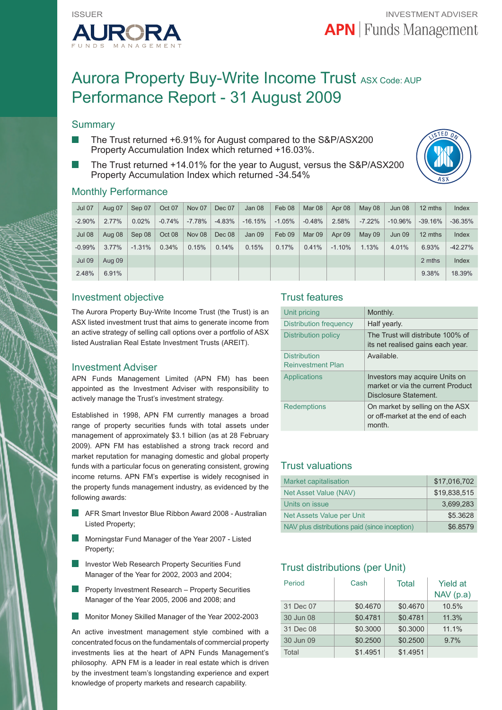

# Aurora Property Buy-Write Income Trust ASX Code: AUP Performance Report - 31 August 2009

## **Summary**

- The Trust returned +6.91% for August compared to the S&P/ASX200 Property Accumulation Index which returned +16.03%.
- The Trust returned +14.01% for the year to August, versus the S&P/ASX200 Property Accumulation Index which returned -34.54%



### Monthly Performance

| <b>Jul 07</b> | Aug 07   | Sep 07   | Oct 07   | Nov 07   | Dec 07   | Jan 08    | Feb 08   | Mar 08   | Apr 08   | May 08   | Jun 08     | 12 mths   | Index     |
|---------------|----------|----------|----------|----------|----------|-----------|----------|----------|----------|----------|------------|-----------|-----------|
| $-2.90%$      | $2.77\%$ | 0.02%    | $-0.74%$ | $-7.78%$ | $-4.83%$ | $-16.15%$ | $-1.05%$ | $-0.48%$ | 2.58%    | $-7.22%$ | $-10.96\%$ | $-39.16%$ | $-36.35%$ |
| <b>Jul 08</b> | Aug 08   | Sep 08   | Oct 08   | Nov 08   | Dec 08   | Jan 09    | Feb 09   | Mar 09   | Apr 09   | May 09   | Jun 09     | 12 mths   | Index     |
| $-0.99%$      | $3.77\%$ | $-1.31%$ | 0.34%    | 0.15%    | 0.14%    | 0.15%     | 0.17%    | 0.41%    | $-1.10%$ | 1.13%    | 4.01%      | 6.93%     | $-42.27%$ |
| <b>Jul 09</b> | Aug 09   |          |          |          |          |           |          |          |          |          |            | 2 mths    | Index     |
| 2.48%         | 6.91%    |          |          |          |          |           |          |          |          |          |            | 9.38%     | 18.39%    |

## Investment objective

The Aurora Property Buy-Write Income Trust (the Trust) is an ASX listed investment trust that aims to generate income from an active strategy of selling call options over a portfolio of ASX listed Australian Real Estate Investment Trusts (AREIT).

#### Investment Adviser

APN Funds Management Limited (APN FM) has been appointed as the Investment Adviser with responsibility to actively manage the Trust's investment strategy.

Established in 1998, APN FM currently manages a broad range of property securities funds with total assets under management of approximately \$3.1 billion (as at 28 February 2009). APN FM has established a strong track record and market reputation for managing domestic and global property funds with a particular focus on generating consistent, growing income returns. APN FM's expertise is widely recognised in the property funds management industry, as evidenced by the following awards:

- AFR Smart Investor Blue Ribbon Award 2008 Australian Listed Property;
- Morningstar Fund Manager of the Year 2007 Listed Property;
- Investor Web Research Property Securities Fund Manager of the Year for 2002, 2003 and 2004;
- Property Investment Research Property Securities Manager of the Year 2005, 2006 and 2008; and
- ×. Monitor Money Skilled Manager of the Year 2002-2003

An active investment management style combined with a concentrated focus on the fundamentals of commercial property investments lies at the heart of APN Funds Management's philosophy. APN FM is a leader in real estate which is driven by the investment team's longstanding experience and expert knowledge of property markets and research capability.

## Trust features

| Unit pricing                                    | Monthly.                                                                                     |
|-------------------------------------------------|----------------------------------------------------------------------------------------------|
| Distribution frequency                          | Half yearly.                                                                                 |
| Distribution policy                             | The Trust will distribute 100% of<br>its net realised gains each year.                       |
| <b>Distribution</b><br><b>Reinvestment Plan</b> | Available.                                                                                   |
| Applications                                    | Investors may acquire Units on<br>market or via the current Product<br>Disclosure Statement. |
| <b>Redemptions</b>                              | On market by selling on the ASX<br>or off-market at the end of each<br>month.                |

## Trust valuations

| <b>Market capitalisation</b>                  | \$17,016,702 |
|-----------------------------------------------|--------------|
| Net Asset Value (NAV)                         | \$19.838.515 |
| Units on issue                                | 3.699.283    |
| Net Assets Value per Unit                     | \$5.3628     |
| NAV plus distributions paid (since inception) | \$6.8579     |

## Trust distributions (per Unit)

| Period    | Cash     | Total    | <b>Yield at</b><br>NAV(p.a) |
|-----------|----------|----------|-----------------------------|
| 31 Dec 07 | \$0.4670 | \$0.4670 | 10.5%                       |
| 30 Jun 08 | \$0.4781 | \$0.4781 | 11.3%                       |
| 31 Dec 08 | \$0.3000 | \$0.3000 | 11.1%                       |
| 30 Jun 09 | \$0.2500 | \$0.2500 | 9.7%                        |
| Total     | \$1.4951 | \$1.4951 |                             |